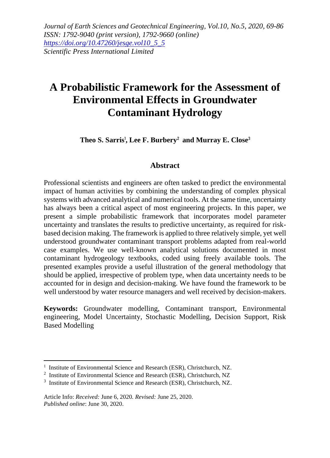*Journal of Earth Sciences and Geotechnical Engineering, Vol.10, No.5, 2020, 69-86 ISSN: 1792-9040 (print version), 1792-9660 (online) [https://doi.org/10.47260/jesge.vol10\\_5\\_5](https://doi.org/10.47260/jesge.vol10_5_5) Scientific Press International Limited*

# **A Probabilistic Framework for the Assessment of Environmental Effects in Groundwater Contaminant Hydrology**

**Theo S. Sarris**<sup>1</sup> **, Lee F. Burbery**<sup>2</sup> **and Murray E. Close**<sup>3</sup>

#### **Abstract**

Professional scientists and engineers are often tasked to predict the environmental impact of human activities by combining the understanding of complex physical systems with advanced analytical and numerical tools. At the same time, uncertainty has always been a critical aspect of most engineering projects. In this paper, we present a simple probabilistic framework that incorporates model parameter uncertainty and translates the results to predictive uncertainty, as required for riskbased decision making. The framework is applied to three relatively simple, yet well understood groundwater contaminant transport problems adapted from real-world case examples. We use well-known analytical solutions documented in most contaminant hydrogeology textbooks, coded using freely available tools. The presented examples provide a useful illustration of the general methodology that should be applied, irrespective of problem type, when data uncertainty needs to be accounted for in design and decision-making. We have found the framework to be well understood by water resource managers and well received by decision-makers.

**Keywords:** Groundwater modelling, Contaminant transport, Environmental engineering, Model Uncertainty, Stochastic Modelling, Decision Support, Risk Based Modelling

<sup>&</sup>lt;sup>1</sup> Institute of Environmental Science and Research (ESR), Christchurch, NZ.

<sup>&</sup>lt;sup>2</sup> Institute of Environmental Science and Research (ESR), Christchurch, NZ

<sup>&</sup>lt;sup>3</sup> Institute of Environmental Science and Research (ESR), Christchurch, NZ.

Article Info: *Received:* June 6, 2020*. Revised:* June 25, 2020. *Published online*: June 30, 2020.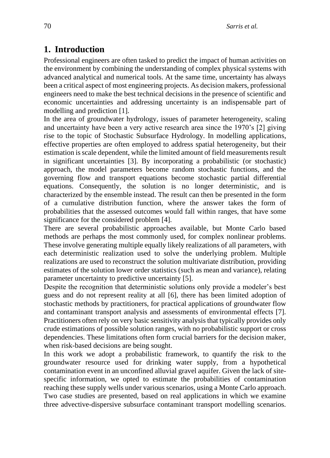# **1. Introduction**

Professional engineers are often tasked to predict the impact of human activities on the environment by combining the understanding of complex physical systems with advanced analytical and numerical tools. At the same time, uncertainty has always been a critical aspect of most engineering projects. As decision makers, professional engineers need to make the best technical decisions in the presence of scientific and economic uncertainties and addressing uncertainty is an indispensable part of modelling and prediction [1].

In the area of groundwater hydrology, issues of parameter heterogeneity, scaling and uncertainty have been a very active research area since the 1970's [2] giving rise to the topic of Stochastic Subsurface Hydrology. In modelling applications, effective properties are often employed to address spatial heterogeneity, but their estimation is scale dependent, while the limited amount of field measurements result in significant uncertainties [3]. By incorporating a probabilistic (or stochastic) approach, the model parameters become random stochastic functions, and the governing flow and transport equations become stochastic partial differential equations. Consequently, the solution is no longer deterministic, and is characterized by the ensemble instead. The result can then be presented in the form of a cumulative distribution function, where the answer takes the form of probabilities that the assessed outcomes would fall within ranges, that have some significance for the considered problem [4].

There are several probabilistic approaches available, but Monte Carlo based methods are perhaps the most commonly used, for complex nonlinear problems. These involve generating multiple equally likely realizations of all parameters, with each deterministic realization used to solve the underlying problem. Multiple realizations are used to reconstruct the solution multivariate distribution, providing estimates of the solution lower order statistics (such as mean and variance), relating parameter uncertainty to predictive uncertainty [5].

Despite the recognition that deterministic solutions only provide a modeler's best guess and do not represent reality at all [6], there has been limited adoption of stochastic methods by practitioners, for practical applications of groundwater flow and contaminant transport analysis and assessments of environmental effects [7]. Practitioners often rely on very basic sensitivity analysis that typically provides only crude estimations of possible solution ranges, with no probabilistic support or cross dependencies. These limitations often form crucial barriers for the decision maker, when risk-based decisions are being sought.

In this work we adopt a probabilistic framework, to quantify the risk to the groundwater resource used for drinking water supply, from a hypothetical contamination event in an unconfined alluvial gravel aquifer. Given the lack of sitespecific information, we opted to estimate the probabilities of contamination reaching these supply wells under various scenarios, using a Monte Carlo approach. Two case studies are presented, based on real applications in which we examine three advective-dispersive subsurface contaminant transport modelling scenarios.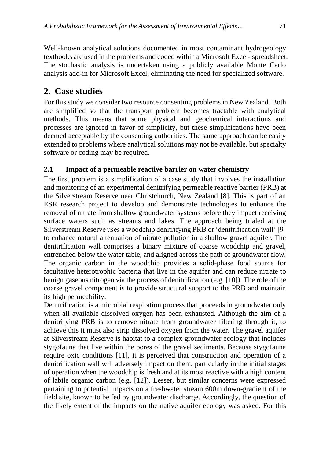Well-known analytical solutions documented in most contaminant hydrogeology textbooks are used in the problems and coded within a Microsoft Excel- spreadsheet. The stochastic analysis is undertaken using a publicly available Monte Carlo analysis add-in for Microsoft Excel, eliminating the need for specialized software.

## **2. Case studies**

For this study we consider two resource consenting problems in New Zealand. Both are simplified so that the transport problem becomes tractable with analytical methods. This means that some physical and geochemical interactions and processes are ignored in favor of simplicity, but these simplifications have been deemed acceptable by the consenting authorities. The same approach can be easily extended to problems where analytical solutions may not be available, but specialty software or coding may be required.

### **2.1 Impact of a permeable reactive barrier on water chemistry**

The first problem is a simplification of a case study that involves the installation and monitoring of an experimental denitrifying permeable reactive barrier (PRB) at the Silverstream Reserve near Christchurch, New Zealand [8]. This is part of an ESR research project to develop and demonstrate technologies to enhance the removal of nitrate from shallow groundwater systems before they impact receiving surface waters such as streams and lakes. The approach being trialed at the Silverstream Reserve uses a woodchip denitrifying PRB or 'denitrification wall' [9] to enhance natural attenuation of nitrate pollution in a shallow gravel aquifer. The denitrification wall comprises a binary mixture of coarse woodchip and gravel, entrenched below the water table, and aligned across the path of groundwater flow. The organic carbon in the woodchip provides a solid-phase food source for facultative heterotrophic bacteria that live in the aquifer and can reduce nitrate to benign gaseous nitrogen via the process of denitrification (e.g. [10]). The role of the coarse gravel component is to provide structural support to the PRB and maintain its high permeability.

Denitrification is a microbial respiration process that proceeds in groundwater only when all available dissolved oxygen has been exhausted. Although the aim of a denitrifying PRB is to remove nitrate from groundwater filtering through it, to achieve this it must also strip dissolved oxygen from the water. The gravel aquifer at Silverstream Reserve is habitat to a complex groundwater ecology that includes stygofauna that live within the pores of the gravel sediments. Because stygofauna require oxic conditions [11], it is perceived that construction and operation of a denitrification wall will adversely impact on them, particularly in the initial stages of operation when the woodchip is fresh and at its most reactive with a high content of labile organic carbon (e.g. [12]). Lesser, but similar concerns were expressed pertaining to potential impacts on a freshwater stream 600m down-gradient of the field site, known to be fed by groundwater discharge. Accordingly, the question of the likely extent of the impacts on the native aquifer ecology was asked. For this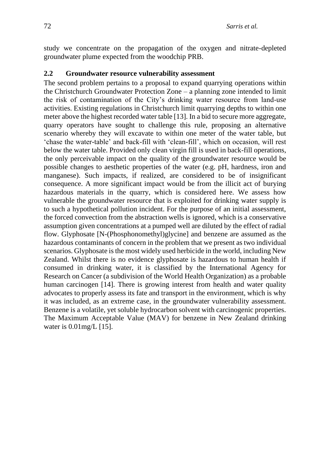study we concentrate on the propagation of the oxygen and nitrate-depleted groundwater plume expected from the woodchip PRB.

#### **2.2 Groundwater resource vulnerability assessment**

The second problem pertains to a proposal to expand quarrying operations within the Christchurch Groundwater Protection Zone – a planning zone intended to limit the risk of contamination of the City's drinking water resource from land-use activities. Existing regulations in Christchurch limit quarrying depths to within one meter above the highest recorded water table [13]. In a bid to secure more aggregate, quarry operators have sought to challenge this rule, proposing an alternative scenario whereby they will excavate to within one meter of the water table, but 'chase the water-table' and back-fill with 'clean-fill', which on occasion, will rest below the water table. Provided only clean virgin fill is used in back-fill operations, the only perceivable impact on the quality of the groundwater resource would be possible changes to aesthetic properties of the water (e.g. pH, hardness, iron and manganese). Such impacts, if realized, are considered to be of insignificant consequence. A more significant impact would be from the illicit act of burying hazardous materials in the quarry, which is considered here. We assess how vulnerable the groundwater resource that is exploited for drinking water supply is to such a hypothetical pollution incident. For the purpose of an initial assessment, the forced convection from the abstraction wells is ignored, which is a conservative assumption given concentrations at a pumped well are diluted by the effect of radial flow. Glyphosate [N-(Phosphonomethyl)glycine] and benzene are assumed as the hazardous contaminants of concern in the problem that we present as two individual scenarios. Glyphosate is the most widely used herbicide in the world, including New Zealand. Whilst there is no evidence glyphosate is hazardous to human health if consumed in drinking water, it is classified by the International Agency for Research on Cancer (a subdivision of the World Health Organization) as a probable human carcinogen [14]. There is growing interest from health and water quality advocates to properly assess its fate and transport in the environment, which is why it was included, as an extreme case, in the groundwater vulnerability assessment. Benzene is a volatile, yet soluble hydrocarbon solvent with carcinogenic properties. The Maximum Acceptable Value (MAV) for benzene in New Zealand drinking water is 0.01mg/L [15].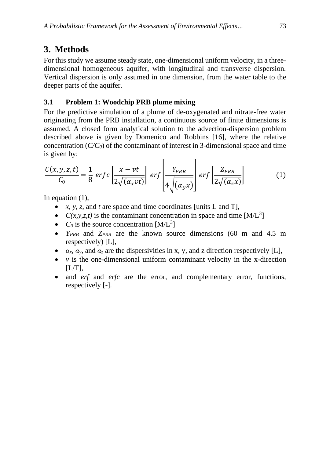# **3. Methods**

For this study we assume steady state, one-dimensional uniform velocity, in a threedimensional homogeneous aquifer, with longitudinal and transverse dispersion. Vertical dispersion is only assumed in one dimension, from the water table to the deeper parts of the aquifer.

### **3.1 Problem 1: Woodchip PRB plume mixing**

For the predictive simulation of a plume of de-oxygenated and nitrate-free water originating from the PRB installation, a continuous source of finite dimensions is assumed. A closed form analytical solution to the advection-dispersion problem described above is given by Domenico and Robbins [16], where the relative concentration  $(C/C_0)$  of the contaminant of interest in 3-dimensional space and time is given by:

$$
\frac{C(x, y, z, t)}{C_0} = \frac{1}{8} \operatorname{erfc} \left[ \frac{x - vt}{2\sqrt{(\alpha_x vt)}} \right] \operatorname{erf} \left[ \frac{Y_{PRB}}{4\sqrt{(\alpha_y x)}} \right] \operatorname{erf} \left[ \frac{Z_{PRB}}{2\sqrt{(\alpha_z x)}} \right] \tag{1}
$$

In equation (1),

- *x*, *y*, *z*, and *t* are space and time coordinates [units L and T],
- $C(x, y, z, t)$  is the contaminant concentration in space and time  $[M/L^3]$
- $C_0$  is the source concentration  $[M/L^3]$
- *YPRB* and *ZPRB* are the known source dimensions (60 m and 4.5 m respectively) [L],
- $\alpha_x$ ,  $\alpha_y$ , and  $\alpha_z$  are the dispersivities in x, y, and z direction respectively [L],
- $\nu$  is the one-dimensional uniform contaminant velocity in the x-direction  $[L/T]$ ,
- and *erf* and *erfc* are the error, and complementary error, functions, respectively [-].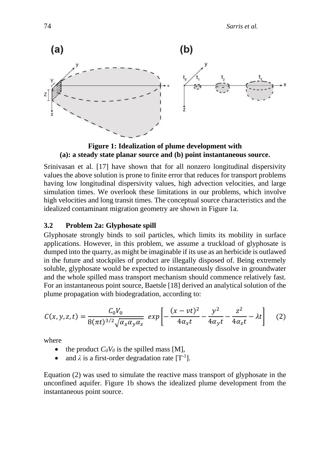

**Figure 1: Idealization of plume development with (a): a steady state planar source and (b) point instantaneous source.**

Srinivasan et al. [17] have shown that for all nonzero longitudinal dispersivity values the above solution is prone to finite error that reduces for transport problems having low longitudinal dispersivity values, high advection velocities, and large simulation times. We overlook these limitations in our problems, which involve high velocities and long transit times. The conceptual source characteristics and the idealized contaminant migration geometry are shown in Figure 1a.

#### **3.2 Problem 2a: Glyphosate spill**

Glyphosate strongly binds to soil particles, which limits its mobility in surface applications. However, in this problem, we assume a truckload of glyphosate is dumped into the quarry, as might be imaginable if its use as an herbicide is outlawed in the future and stockpiles of product are illegally disposed of. Being extremely soluble, glyphosate would be expected to instantaneously dissolve in groundwater and the whole spilled mass transport mechanism should commence relatively fast. For an instantaneous point source, Baetsle [18] derived an analytical solution of the plume propagation with biodegradation, according to:

$$
C(x, y, z, t) = \frac{C_0 V_0}{8(\pi t)^{3/2} \sqrt{\alpha_x \alpha_y \alpha_z}} \exp \left[ -\frac{(x - vt)^2}{4\alpha_x t} - \frac{y^2}{4\alpha_y t} - \frac{z^2}{4\alpha_z t} - \lambda t \right] \tag{2}
$$

where

- the product  $C_0V_0$  is the spilled mass [M],
- and  $\lambda$  is a first-order degradation rate  $[T^{-1}]$ .

Equation (2) was used to simulate the reactive mass transport of glyphosate in the unconfined aquifer. Figure 1b shows the idealized plume development from the instantaneous point source.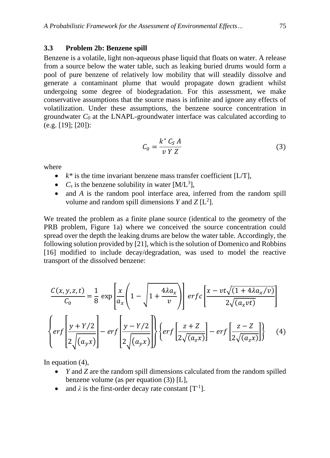#### **3.3 Problem 2b: Benzene spill**

Benzene is a volatile, light non-aqueous phase liquid that floats on water. A release from a source below the water table, such as leaking buried drums would form a pool of pure benzene of relatively low mobility that will steadily dissolve and generate a contaminant plume that would propagate down gradient whilst undergoing some degree of biodegradation. For this assessment, we make conservative assumptions that the source mass is infinite and ignore any effects of volatilization. Under these assumptions, the benzene source concentration in groundwater *C<sup>0</sup>* at the LNAPL-groundwater interface was calculated according to (e.g. [19]; [20]):

$$
C_0 = \frac{k^* C_S A}{\nu Y Z} \tag{3}
$$

where

- $k^*$  is the time invariant benzene mass transfer coefficient  $[L/T]$ ,
- $C_s$  is the benzene solubility in water  $[M/L^3]$ ,
- and *A* is the random pool interface area, inferred from the random spill volume and random spill dimensions *Y* and *Z*  $[L^2]$ .

We treated the problem as a finite plane source (identical to the geometry of the PRB problem, Figure 1a) where we conceived the source concentration could spread over the depth the leaking drums are below the water table. Accordingly, the following solution provided by [21], which is the solution of Domenico and Robbins [16] modified to include decay/degradation, was used to model the reactive transport of the dissolved benzene:

$$
\frac{C(x, y, z, t)}{C_0} = \frac{1}{8} \exp\left[\frac{x}{a_x} \left(1 - \sqrt{1 + \frac{4\lambda a_x}{v}}\right)\right] erf c \left[\frac{x - vt\sqrt{(1 + 4\lambda a_x/v)}}{2\sqrt{(a_x vt)}}\right]
$$

$$
\left\{ erf \left[\frac{y + Y/2}{2\sqrt{(a_y x)}}\right] - erf \left[\frac{y - Y/2}{2\sqrt{(a_y x)}}\right]\right\} \left\{ erf \left[\frac{z + Z}{2\sqrt{(a_z x)}}\right] - erf \left[\frac{z - Z}{2\sqrt{(a_z x)}}\right]\right\} \tag{4}
$$

In equation (4),

- *Y* and *Z* are the random spill dimensions calculated from the random spilled benzene volume (as per equation (3)) [L],
- and  $\lambda$  is the first-order decay rate constant  $[T^{-1}]$ .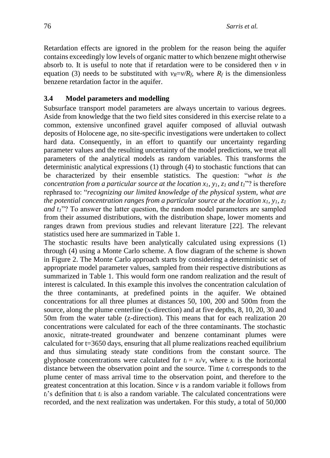Retardation effects are ignored in the problem for the reason being the aquifer contains exceedingly low levels of organic matter to which benzene might otherwise absorb to. It is useful to note that if retardation were to be considered then  $\nu$  in equation (3) needs to be substituted with  $v_R = v/R_f$ , where  $R_f$  is the dimensionless benzene retardation factor in the aquifer.

#### **3.4 Model parameters and modelling**

Subsurface transport model parameters are always uncertain to various degrees. Aside from knowledge that the two field sites considered in this exercise relate to a common, extensive unconfined gravel aquifer composed of alluvial outwash deposits of Holocene age, no site-specific investigations were undertaken to collect hard data. Consequently, in an effort to quantify our uncertainty regarding parameter values and the resulting uncertainty of the model predictions, we treat all parameters of the analytical models as random variables. This transforms the deterministic analytical expressions (1) through (4) to stochastic functions that can be characterized by their ensemble statistics. The question: "*what is the concentration from a particular source at the location x1, y1, z<sup>1</sup> and t1*"? is therefore rephrased to: "*recognizing our limited knowledge of the physical system, what are the potential concentration ranges from a particular source at the location x1, y1, z<sup>1</sup> and t1*"? To answer the latter question, the random model parameters are sampled from their assumed distributions, with the distribution shape, lower moments and ranges drawn from previous studies and relevant literature [22]. The relevant statistics used here are summarized in Table 1.

The stochastic results have been analytically calculated using expressions (1) through (4) using a Monte Carlo scheme. A flow diagram of the scheme is shown in Figure 2. The Monte Carlo approach starts by considering a deterministic set of appropriate model parameter values, sampled from their respective distributions as summarized in Table 1. This would form one random realization and the result of interest is calculated. In this example this involves the concentration calculation of the three contaminants, at predefined points in the aquifer. We obtained concentrations for all three plumes at distances 50, 100, 200 and 500m from the source, along the plume centerline (x-direction) and at five depths, 8, 10, 20, 30 and 50m from the water table (z-direction). This means that for each realization 20 concentrations were calculated for each of the three contaminants. The stochastic anoxic, nitrate-treated groundwater and benzene contaminant plumes were calculated for t=3650 days, ensuring that all plume realizations reached equilibrium and thus simulating steady state conditions from the constant source. The glyphosate concentrations were calculated for  $t_i = x_i/v$ , where  $x_i$  is the horizontal distance between the observation point and the source. Time *t<sup>i</sup>* corresponds to the plume center of mass arrival time to the observation point, and therefore to the greatest concentration at this location. Since  $\nu$  is a random variable it follows from  $t_i$ 's definition that  $t_i$  is also a random variable. The calculated concentrations were recorded, and the next realization was undertaken. For this study, a total of 50,000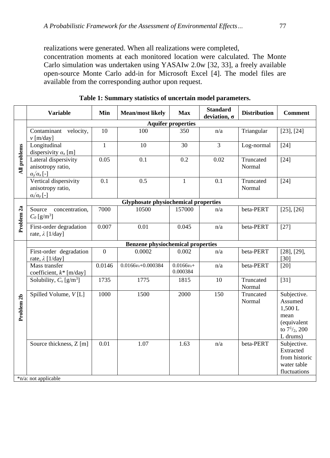realizations were generated. When all realizations were completed,

concentration moments at each monitored location were calculated. The Monte Carlo simulation was undertaken using YASAIw 2.0w [32, 33], a freely available open-source Monte Carlo add-in for Microsoft Excel [4]. The model files are available from the corresponding author upon request.

|                       | <b>Variable</b>                                                         | Min                       | <b>Mean/most likely</b> | <b>Max</b>                | <b>Standard</b><br>deviation, $\sigma$ | <b>Distribution</b> | <b>Comment</b>                                                                            |  |
|-----------------------|-------------------------------------------------------------------------|---------------------------|-------------------------|---------------------------|----------------------------------------|---------------------|-------------------------------------------------------------------------------------------|--|
|                       |                                                                         | <b>Aquifer properties</b> |                         |                           |                                        |                     |                                                                                           |  |
| All problems          | Contaminant velocity,<br>$\nu$ [m/day]                                  | 10                        | 100                     | 350                       | n/a                                    | Triangular          | [23], [24]                                                                                |  |
|                       | Longitudinal<br>dispersivity $a_x$ [m]                                  | $\overline{1}$            | 10                      | 30                        | $\overline{3}$                         | Log-normal          | $[24]$                                                                                    |  |
|                       | Lateral dispersivity<br>anisotropy ratio,<br>$\alpha_{y}\alpha_{x}$ [-] | 0.05                      | 0.1                     | 0.2                       | 0.02                                   | Truncated<br>Normal | $[24]$                                                                                    |  |
|                       | Vertical dispersivity<br>anisotropy ratio,<br>$\alpha_z/\alpha_v$ [-]   | 0.1                       | 0.5                     | $\mathbf{1}$              | 0.1                                    | Truncated<br>Normal | $[24]$                                                                                    |  |
|                       | <b>Glyphosate physiochemical properties</b>                             |                           |                         |                           |                                        |                     |                                                                                           |  |
| Problem <sub>2a</sub> | Source<br>concentration,<br>$C_0$ [g/m <sup>3</sup> ]                   | 7000                      | 10500                   | 157000                    | n/a                                    | beta-PERT           | $[25]$ , $[26]$                                                                           |  |
|                       | First-order degradation<br>rate, $\lambda$ [1/day]                      | 0.007                     | 0.01                    | 0.045                     | n/a                                    | beta-PERT           | $[27]$                                                                                    |  |
|                       | <b>Benzene physiochemical properties</b>                                |                           |                         |                           |                                        |                     |                                                                                           |  |
| Problem <sub>2b</sub> | First-order degradation<br>rate, $\lambda$ [1/day]                      | $\mathbf{0}$              | 0.0002                  | 0.002                     | n/a                                    | beta-PERT           | $[28]$ , $[29]$ ,<br>[30]                                                                 |  |
|                       | Mass transfer<br>coefficient, k* [m/day]                                | 0.0146                    | $0.0166v_x + 0.000384$  | $0.0166v_x +$<br>0.000384 | n/a                                    | beta-PERT           | $[20]$                                                                                    |  |
|                       | Solubility, $C_s$ [g/m <sup>3</sup> ]                                   | 1735                      | 1775                    | 1815                      | 10                                     | Truncated<br>Normal | $[31]$                                                                                    |  |
|                       | Spilled Volume, V[L]                                                    | 1000                      | 1500                    | 2000                      | 150                                    | Truncated<br>Normal | Subjective.<br>Assumed<br>1,500L<br>mean<br>(equivalent<br>to $7^{1/2}$ , 200<br>L drums) |  |
|                       | Source thickness, Z [m]                                                 | 0.01                      | 1.07                    | 1.63                      | n/a                                    | beta-PERT           | Subjective.<br>Extracted                                                                  |  |
|                       |                                                                         |                           |                         |                           |                                        |                     | from historic                                                                             |  |
|                       |                                                                         |                           |                         |                           |                                        |                     | water table<br>fluctuations                                                               |  |
|                       | *n/a: not applicable                                                    |                           |                         |                           |                                        |                     |                                                                                           |  |

**Table 1: Summary statistics of uncertain model parameters.**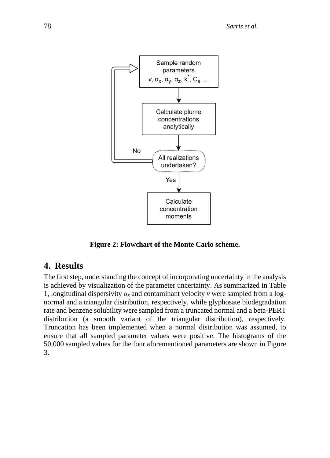

**Figure 2: Flowchart of the Monte Carlo scheme.**

### **4. Results**

The first step, understanding the concept of incorporating uncertainty in the analysis is achieved by visualization of the parameter uncertainty. As summarized in Table 1, longitudinal dispersivity *α<sup>x</sup>* and contaminant velocity *v* were sampled from a lognormal and a triangular distribution, respectively, while glyphosate biodegradation rate and benzene solubility were sampled from a truncated normal and a beta-PERT distribution (a smooth variant of the triangular distribution), respectively. Truncation has been implemented when a normal distribution was assumed, to ensure that all sampled parameter values were positive. The histograms of the 50,000 sampled values for the four aforementioned parameters are shown in Figure 3.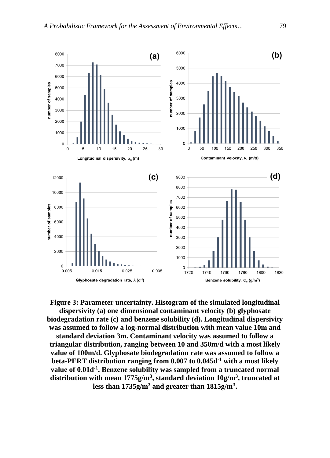

**Figure 3: Parameter uncertainty. Histogram of the simulated longitudinal dispersivity (a) one dimensional contaminant velocity (b) glyphosate biodegradation rate (c) and benzene solubility (d). Longitudinal dispersivity was assumed to follow a log-normal distribution with mean value 10m and standard deviation 3m. Contaminant velocity was assumed to follow a triangular distribution, ranging between 10 and 350m/d with a most likely value of 100m/d. Glyphosate biodegradation rate was assumed to follow a beta-PERT distribution ranging from 0.007 to 0.045d-1 with a most likely value of 0.01d-1 . Benzene solubility was sampled from a truncated normal distribution with mean 1775g/m<sup>3</sup> , standard deviation 10g/m<sup>3</sup> , truncated at less than 1735g/m<sup>3</sup> and greater than 1815g/m<sup>3</sup> .**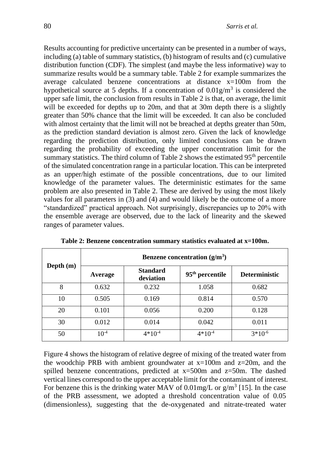Results accounting for predictive uncertainty can be presented in a number of ways, including (a) table of summary statistics, (b) histogram of results and (c) cumulative distribution function (CDF). The simplest (and maybe the less informative) way to summarize results would be a summary table. Table 2 for example summarizes the average calculated benzene concentrations at distance x=100m from the hypothetical source at 5 depths. If a concentration of  $0.01$ g/m<sup>3</sup> is considered the upper safe limit, the conclusion from results in Table 2 is that, on average, the limit will be exceeded for depths up to 20m, and that at 30m depth there is a slightly greater than 50% chance that the limit will be exceeded. It can also be concluded with almost certainty that the limit will not be breached at depths greater than 50m, as the prediction standard deviation is almost zero. Given the lack of knowledge regarding the prediction distribution, only limited conclusions can be drawn regarding the probability of exceeding the upper concentration limit for the summary statistics. The third column of Table 2 shows the estimated  $95<sup>th</sup>$  percentile of the simulated concentration range in a particular location. This can be interpreted as an upper/high estimate of the possible concentrations, due to our limited knowledge of the parameter values. The deterministic estimates for the same problem are also presented in Table 2. These are derived by using the most likely values for all parameters in (3) and (4) and would likely be the outcome of a more "standardized" practical approach. Not surprisingly, discrepancies up to 20% with the ensemble average are observed, due to the lack of linearity and the skewed ranges of parameter values.

|             | Benzene concentration $(g/m3)$ |                              |                             |                      |  |  |  |
|-------------|--------------------------------|------------------------------|-----------------------------|----------------------|--|--|--|
| Depth $(m)$ | Average                        | <b>Standard</b><br>deviation | 95 <sup>th</sup> percentile | <b>Deterministic</b> |  |  |  |
| 8           | 0.632                          | 0.232                        | 1.058                       | 0.682                |  |  |  |
| 10          | 0.505                          | 0.169                        | 0.814                       | 0.570                |  |  |  |
| 20          | 0.101                          | 0.056                        | 0.200                       | 0.128                |  |  |  |
| 30          | 0.012                          | 0.014                        | 0.042                       | 0.011                |  |  |  |
| 50          | $10^{-4}$                      | $4*10^{-4}$                  | $4*10^{-4}$                 | $3*10^{-6}$          |  |  |  |

**Table 2: Benzene concentration summary statistics evaluated at x=100m.**

Figure 4 shows the histogram of relative degree of mixing of the treated water from the woodchip PRB with ambient groundwater at  $x=100$ m and  $z=20$ m, and the spilled benzene concentrations, predicted at  $x=500$ m and  $z=50$ m. The dashed vertical lines correspond to the upper acceptable limit for the contaminant of interest. For benzene this is the drinking water MAV of  $0.01 \text{mg/L}$  or  $\text{g/m}^3$  [15]. In the case of the PRB assessment, we adopted a threshold concentration value of 0.05 (dimensionless), suggesting that the de-oxygenated and nitrate-treated water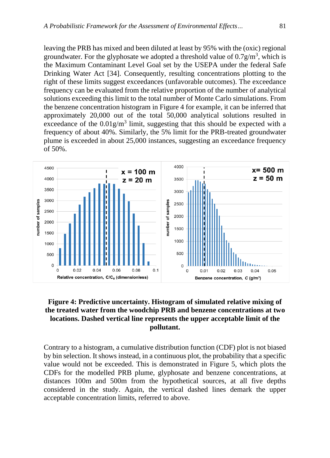leaving the PRB has mixed and been diluted at least by 95% with the (oxic) regional groundwater. For the glyphosate we adopted a threshold value of  $0.7$  g/m<sup>3</sup>, which is the Maximum Contaminant Level Goal set by the USEPA under the federal Safe Drinking Water Act [34]. Consequently, resulting concentrations plotting to the right of these limits suggest exceedances (unfavorable outcomes). The exceedance frequency can be evaluated from the relative proportion of the number of analytical solutions exceeding this limit to the total number of Monte Carlo simulations. From the benzene concentration histogram in Figure 4 for example, it can be inferred that approximately 20,000 out of the total 50,000 analytical solutions resulted in exceedance of the  $0.01$ g/m<sup>3</sup> limit, suggesting that this should be expected with a frequency of about 40%. Similarly, the 5% limit for the PRB-treated groundwater plume is exceeded in about 25,000 instances, suggesting an exceedance frequency of 50%.



#### **Figure 4: Predictive uncertainty. Histogram of simulated relative mixing of the treated water from the woodchip PRB and benzene concentrations at two locations. Dashed vertical line represents the upper acceptable limit of the pollutant.**

Contrary to a histogram, a cumulative distribution function (CDF) plot is not biased by bin selection. It shows instead, in a continuous plot, the probability that a specific value would not be exceeded. This is demonstrated in Figure 5, which plots the CDFs for the modelled PRB plume, glyphosate and benzene concentrations, at distances 100m and 500m from the hypothetical sources, at all five depths considered in the study. Again, the vertical dashed lines demark the upper acceptable concentration limits, referred to above.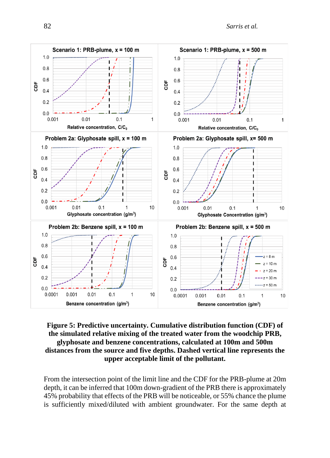

#### **Figure 5: Predictive uncertainty. Cumulative distribution function (CDF) of the simulated relative mixing of the treated water from the woodchip PRB, glyphosate and benzene concentrations, calculated at 100m and 500m distances from the source and five depths. Dashed vertical line represents the upper acceptable limit of the pollutant.**

From the intersection point of the limit line and the CDF for the PRB-plume at 20m depth, it can be inferred that 100m down-gradient of the PRB there is approximately 45% probability that effects of the PRB will be noticeable, or 55% chance the plume is sufficiently mixed/diluted with ambient groundwater. For the same depth at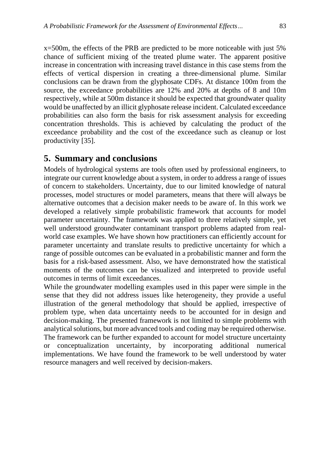x=500m, the effects of the PRB are predicted to be more noticeable with just 5% chance of sufficient mixing of the treated plume water. The apparent positive increase in concentration with increasing travel distance in this case stems from the effects of vertical dispersion in creating a three-dimensional plume. Similar conclusions can be drawn from the glyphosate CDFs. At distance 100m from the source, the exceedance probabilities are 12% and 20% at depths of 8 and 10m respectively, while at 500m distance it should be expected that groundwater quality would be unaffected by an illicit glyphosate release incident. Calculated exceedance probabilities can also form the basis for risk assessment analysis for exceeding concentration thresholds. This is achieved by calculating the product of the exceedance probability and the cost of the exceedance such as cleanup or lost productivity [35].

### **5. Summary and conclusions**

Models of hydrological systems are tools often used by professional engineers, to integrate our current knowledge about a system, in order to address a range of issues of concern to stakeholders. Uncertainty, due to our limited knowledge of natural processes, model structures or model parameters, means that there will always be alternative outcomes that a decision maker needs to be aware of. In this work we developed a relatively simple probabilistic framework that accounts for model parameter uncertainty. The framework was applied to three relatively simple, yet well understood groundwater contaminant transport problems adapted from realworld case examples. We have shown how practitioners can efficiently account for parameter uncertainty and translate results to predictive uncertainty for which a range of possible outcomes can be evaluated in a probabilistic manner and form the basis for a risk-based assessment. Also, we have demonstrated how the statistical moments of the outcomes can be visualized and interpreted to provide useful outcomes in terms of limit exceedances.

While the groundwater modelling examples used in this paper were simple in the sense that they did not address issues like heterogeneity, they provide a useful illustration of the general methodology that should be applied, irrespective of problem type, when data uncertainty needs to be accounted for in design and decision-making. The presented framework is not limited to simple problems with analytical solutions, but more advanced tools and coding may be required otherwise. The framework can be further expanded to account for model structure uncertainty or conceptualization uncertainty, by incorporating additional numerical implementations. We have found the framework to be well understood by water resource managers and well received by decision-makers.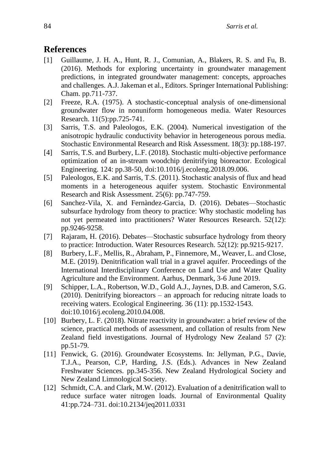# **References**

- [1] Guillaume, J. H. A., Hunt, R. J., Comunian, A., Blakers, R. S. and Fu, B. (2016). Methods for exploring uncertainty in groundwater management predictions, in integrated groundwater management: concepts, approaches and challenges. A.J. Jakeman et al., Editors. Springer International Publishing: Cham. pp.711-737.
- [2] Freeze, R.A. (1975). A stochastic-conceptual analysis of one-dimensional groundwater flow in nonuniform homogeneous media. Water Resources Research. 11(5):pp.725-741.
- [3] Sarris, T.S. and Paleologos, E.K. (2004). Numerical investigation of the anisotropic hydraulic conductivity behavior in heterogeneous porous media. Stochastic Environmental Research and Risk Assessment. 18(3): pp.188-197.
- [4] Sarris, T.S. and Burbery, L.F. (2018). Stochastic multi-objective performance optimization of an in-stream woodchip denitrifying bioreactor. Ecological Engineering. 124: pp.38-50, doi:10.1016/j.ecoleng.2018.09.006.
- [5] Paleologos, E.K. and Sarris, T.S. (2011). Stochastic analysis of flux and head moments in a heterogeneous aquifer system. Stochastic Environmental Research and Risk Assessment. 25(6): pp.747-759.
- [6] Sanchez-Vila, X. and Fernàndez-Garcia, D. (2016). Debates—Stochastic subsurface hydrology from theory to practice: Why stochastic modeling has not yet permeated into practitioners? Water Resources Research. 52(12): pp.9246-9258.
- [7] Rajaram, H. (2016). Debates—Stochastic subsurface hydrology from theory to practice: Introduction. Water Resources Research. 52(12): pp.9215-9217.
- [8] Burbery, L.F., Mellis, R., Abraham, P., Finnemore, M., Weaver, L. and Close, M.E. (2019). Denitrification wall trial in a gravel aquifer. Proceedings of the International Interdisciplinary Conference on Land Use and Water Quality Agriculture and the Environment. Aarhus, Denmark, 3-6 June 2019.
- [9] Schipper, L.A., Robertson, W.D., Gold A.J., Jaynes, D.B. and Cameron, S.G. (2010). Denitrifying bioreactors – an approach for reducing nitrate loads to receiving waters. Ecological Engineering. 36 (11): pp.1532-1543. doi:10.1016/j.ecoleng.2010.04.008.
- [10] Burbery, L. F. (2018). Nitrate reactivity in groundwater: a brief review of the science, practical methods of assessment, and collation of results from New Zealand field investigations. Journal of Hydrology New Zealand 57 (2): pp.51-79.
- [11] Fenwick, G. (2016). Groundwater Ecosystems. In: Jellyman, P.G., Davie, T.J.A., Pearson, C.P, Harding, J.S. (Eds.). Advances in New Zealand Freshwater Sciences. pp.345-356. New Zealand Hydrological Society and New Zealand Limnological Society.
- [12] Schmidt, C.A. and Clark, M.W. (2012). Evaluation of a denitrification wall to reduce surface water nitrogen loads. Journal of Environmental Quality 41:pp.724–731. doi:10.2134/jeq2011.0331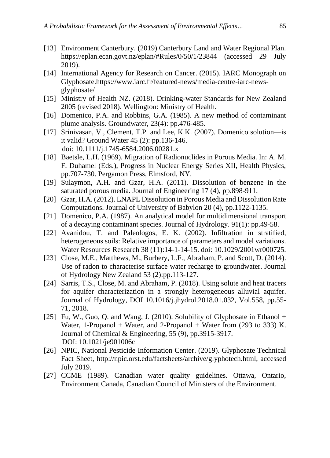- [13] Environment Canterbury. (2019) Canterbury Land and Water Regional Plan. https://eplan.ecan.govt.nz/eplan/#Rules/0/50/1/23844 (accessed 29 July 2019).
- [14] International Agency for Research on Cancer. (2015). IARC Monograph on Glyphosate.https://www.iarc.fr/featured-news/media-centre-iarc-newsglyphosate/
- [15] Ministry of Health NZ. (2018). Drinking-water Standards for New Zealand 2005 (revised 2018). Wellington: Ministry of Health.
- [16] Domenico, P.A. and Robbins, G.A. (1985). A new method of contaminant plume analysis. Groundwater, 23(4): pp.476-485.
- [17] Srinivasan, V., Clement, T.P. and Lee, K.K. (2007). Domenico solution—is it valid? Ground Water 45 (2): pp.136-146. doi: 10.1111/j.1745-6584.2006.00281.x
- [18] Baetsle, L.H. (1969). Migration of Radionuclides in Porous Media. In: A. M. F. Duhamel (Eds.), Progress in Nuclear Energy Series XII, Health Physics, pp.707-730. Pergamon Press, Elmsford, NY.
- [19] Sulaymon, A.H. and Gzar, H.A. (2011). Dissolution of benzene in the saturated porous media. Journal of Engineering 17 (4), pp.898-911.
- [20] Gzar, H.A. (2012). LNAPL Dissolution in Porous Media and Dissolution Rate Computations. Journal of University of Babylon 20 (4), pp.1122-1135.
- [21] Domenico, P.A. (1987). An analytical model for multidimensional transport of a decaying contaminant species. Journal of Hydrology. 91(1): pp.49-58.
- [22] Avanidou, T. and Paleologos, E. K. (2002). Infiltration in stratified, heterogeneous soils: Relative importance of parameters and model variations. Water Resources Research 38 (11):14-1-14-15. doi: 10.1029/2001wr000725.
- [23] Close, M.E., Matthews, M., Burbery, L.F., Abraham, P. and Scott, D. (2014). Use of radon to characterise surface water recharge to groundwater. Journal of Hydrology New Zealand 53 (2):pp.113-127.
- [24] Sarris, T.S., Close, M. and Abraham, P. (2018). Using solute and heat tracers for aquifer characterization in a strongly heterogeneous alluvial aquifer. Journal of Hydrology, DOI 10.1016/j.jhydrol.2018.01.032, Vol.558, pp.55- 71, 2018.
- [25] Fu, W., Guo, Q. and Wang, J. (2010). Solubility of Glyphosate in Ethanol  $+$ Water, 1-Propanol + Water, and  $2$ -Propanol + Water from (293 to 333) K. Journal of Chemical & Engineering, 55 (9), pp.3915-3917. DOI: 10.1021/je901006c
- [26] NPIC, National Pesticide Information Center. (2019). Glyphosate Technical Fact Sheet, http://npic.orst.edu/factsheets/archive/glyphotech.html, accessed July 2019.
- [27] CCME (1989). Canadian water quality guidelines. Ottawa, Ontario, Environment Canada, Canadian Council of Ministers of the Environment.